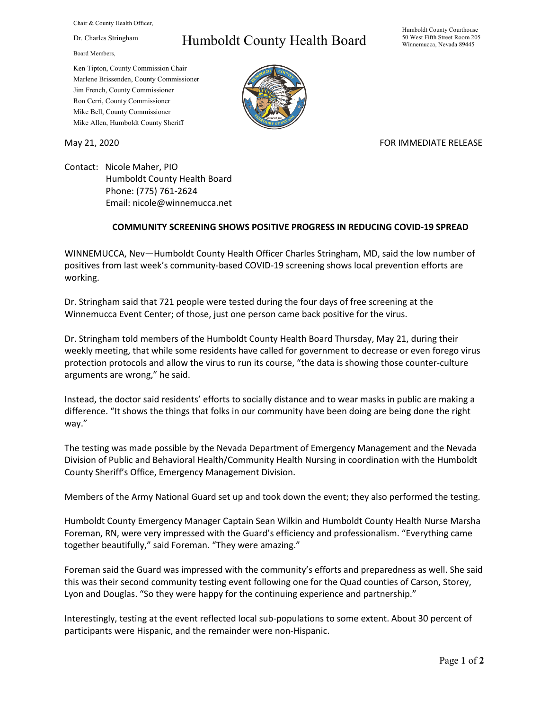Chair & County Health Officer,

Dr. Charles Stringham

Board Members,

## Humboldt County Health Board

Humboldt County Courthouse 50 West Fifth Street Room 205 Winnemucca, Nevada 89445

Ken Tipton, County Commission Chair Marlene Brissenden, County Commissioner Jim French, County Commissioner Ron Cerri, County Commissioner Mike Bell, County Commissioner Mike Allen, Humboldt County Sheriff

May 21, 2020 FOR IMMEDIATE RELEASE

Contact: Nicole Maher, PIO Humboldt County Health Board Phone: (775) 761-2624 Email: nicole@winnemucca.net

## **COMMUNITY SCREENING SHOWS POSITIVE PROGRESS IN REDUCING COVID-19 SPREAD**

WINNEMUCCA, Nev—Humboldt County Health Officer Charles Stringham, MD, said the low number of positives from last week's community-based COVID-19 screening shows local prevention efforts are working.

Dr. Stringham said that 721 people were tested during the four days of free screening at the Winnemucca Event Center; of those, just one person came back positive for the virus.

Dr. Stringham told members of the Humboldt County Health Board Thursday, May 21, during their weekly meeting, that while some residents have called for government to decrease or even forego virus protection protocols and allow the virus to run its course, "the data is showing those counter-culture arguments are wrong," he said.

Instead, the doctor said residents' efforts to socially distance and to wear masks in public are making a difference. "It shows the things that folks in our community have been doing are being done the right way."

The testing was made possible by the Nevada Department of Emergency Management and the Nevada Division of Public and Behavioral Health/Community Health Nursing in coordination with the Humboldt County Sheriff's Office, Emergency Management Division.

Members of the Army National Guard set up and took down the event; they also performed the testing.

Humboldt County Emergency Manager Captain Sean Wilkin and Humboldt County Health Nurse Marsha Foreman, RN, were very impressed with the Guard's efficiency and professionalism. "Everything came together beautifully," said Foreman. "They were amazing."

Foreman said the Guard was impressed with the community's efforts and preparedness as well. She said this was their second community testing event following one for the Quad counties of Carson, Storey, Lyon and Douglas. "So they were happy for the continuing experience and partnership."

Interestingly, testing at the event reflected local sub-populations to some extent. About 30 percent of participants were Hispanic, and the remainder were non-Hispanic.